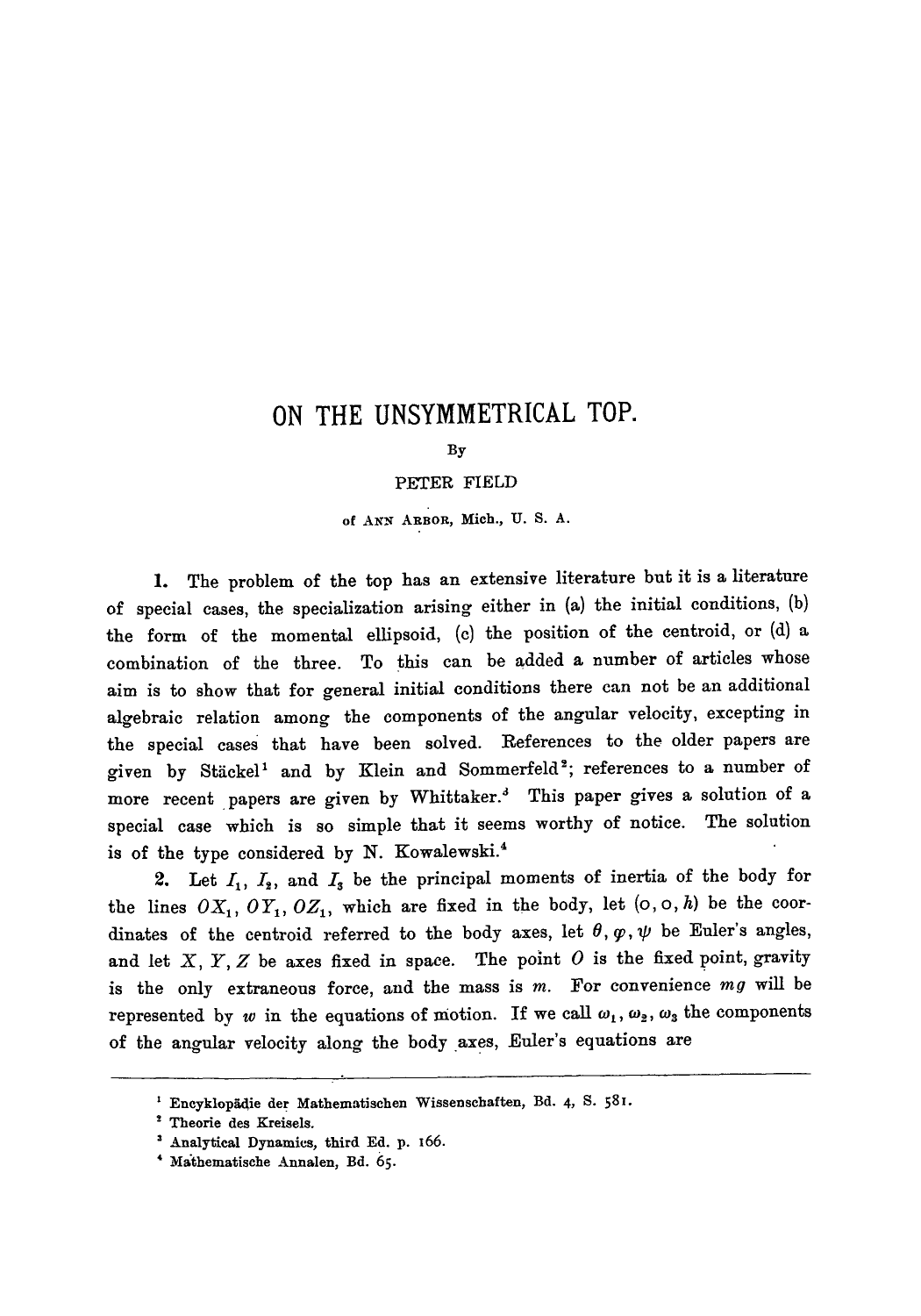## **ON THE UNSYMMETRICAL TOP.**

By

## PETER FIELD

of ANN ARBOR, Mich., U. S. A.

1. The problem of the top has an extensive literature but it is a literature of special cases, the specialization arising either in (a) the initial conditions, (b) the form of the momental ellipsoid, (c) the position of the centroid, or (d) a combination of the three. To this can be added a number of articles whose aim is to show that for general initial conditions there can not be an additional algebraic relation among the components of the angular velocity, excepting in the special cases that have been solved. References to the older papers are given by Stäckel<sup>1</sup> and by Klein and Sommerfeld<sup>2</sup>; references to a number of more recent papers are given by Whittaker.<sup>3</sup> This paper gives a solution of a special case which is so simple that it seems worthy of notice. The solution is of the type considered by N. Kowalewski.<sup>4</sup>

2. Let  $I_1$ ,  $I_2$ , and  $I_3$  be the principal moments of inertia of the body for the lines  $OX_1, OY_1, OZ_1$ , which are fixed in the body, let  $(o, o, h)$  be the coordinates of the centroid referred to the body axes, let  $\theta$ ,  $\varphi$ ,  $\psi$  be Euler's angles, and let  $X, Y, Z$  be axes fixed in space. The point  $O$  is the fixed point, gravity is the only extraneous force, and the mass is m. For convenience *mg* will be represented by w in the equations of motion. If we call  $\omega_1, \omega_2, \omega_3$  the components of the angular velocity along the body axes, Euler's equations are

<sup>&</sup>lt;sup>1</sup> Encyklopädie der Mathematischen Wissenschaften, Bd. 4, S. 581.

<sup>2</sup> Theorie des Kreisels.

Analytical Dynamics, third Ed. p. I66.

<sup>&</sup>lt;sup>4</sup> Mathematische Annalen, Bd. 65.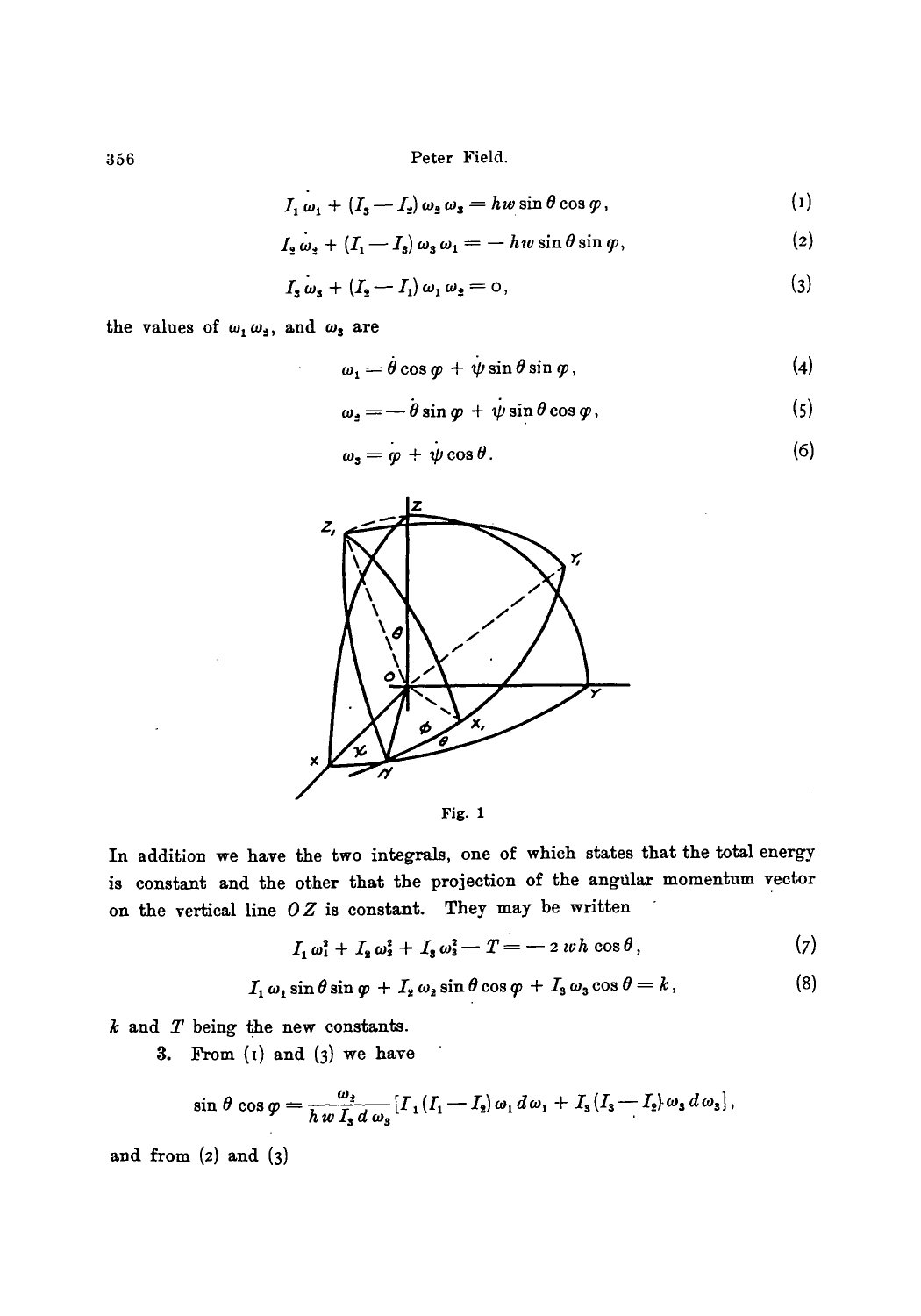356 Peter Field.

$$
I_1 \omega_1 + (I_3 - I_2) \omega_2 \omega_3 = h w \sin \theta \cos \varphi, \qquad (1)
$$

$$
I_2 \omega_2 + (I_1 - I_3) \omega_3 \omega_1 = -h v \sin \theta \sin \varphi, \qquad (2)
$$

$$
I_{\mathbf{3}}\omega_{\mathbf{3}} + (I_{\mathbf{2}} - I_{1})\omega_{1}\omega_{\mathbf{3}} = 0, \qquad (3)
$$

the values of  $\omega_1 \omega_3$ , and  $\omega_3$  are

$$
\omega_1 = \dot{\theta} \cos \varphi + \dot{\psi} \sin \theta \sin \varphi, \qquad (4)
$$

$$
\omega_{\rm s} = -\dot{\theta}\sin\varphi + \dot{\psi}\sin\theta\cos\varphi, \qquad (5)
$$

$$
\omega_3 = \varphi + \psi \cos \theta. \tag{6}
$$



Fig. 1

In addition we have the two integrals, one of which states that the total energy is constant and the other that the projection of the angular momentum vector on the vertical line *O Z* is constant. They may be written

$$
I_1 \omega_1^2 + I_2 \omega_2^2 + I_3 \omega_3^2 - T = -2 \, w \, h \, \cos \theta \,, \tag{7}
$$

$$
I_1 \omega_1 \sin \theta \sin \varphi + I_2 \omega_2 \sin \theta \cos \varphi + I_3 \omega_3 \cos \theta = k, \qquad (8)
$$

 $k$  and  $T$  being the new constants.

3. From  $(i)$  and  $(j)$  we have

$$
\sin\,\theta\,\cos\,\varphi=\frac{\omega_3}{h\,w\,I_3\,d\,\omega_3}[I_1(I_1-I_2)\,\omega_1\,d\,\omega_1+I_3(I_3-I_2)\,\omega_3\,d\,\omega_3],
$$

and from (2) and (3)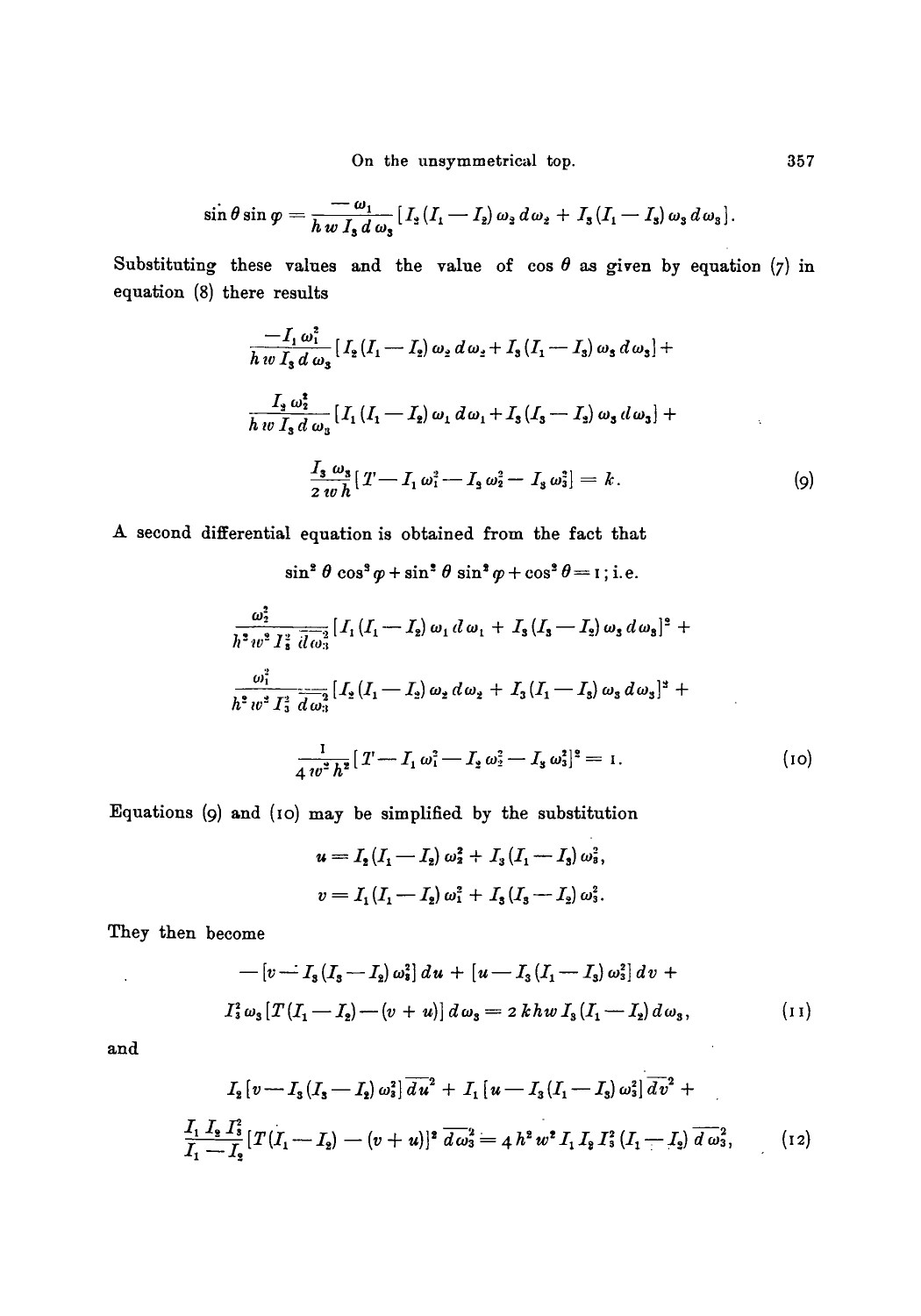On the unsymmetrical top.

$$
\sin\theta\sin\varphi=\frac{-\omega_1}{h\,w\,I_3\,d\,\omega_3}\big[I_2(I_1-I_2)\,\omega_3\,d\,\omega_2+I_3(I_1-I_3)\,\omega_3\,d\,\omega_3\big].
$$

Substituting these values and the value of  $\cos \theta$  as given by equation (7) in equation (8) there results

$$
\frac{-I_1 \omega_1^2}{h w I_3 d \omega_3} [I_2 (I_1 - I_2) \omega_2 d \omega_2 + I_3 (I_1 - I_3) \omega_3 d \omega_3] +
$$
  

$$
\frac{I_3 \omega_2^2}{h w I_3 d \omega_3} [I_1 (I_1 - I_2) \omega_1 d \omega_1 + I_3 (I_3 - I_2) \omega_3 d \omega_3] +
$$
  

$$
\frac{I_3 \omega_3}{2 w h} [T - I_1 \omega_1^2 - I_3 \omega_2^2 - I_3 \omega_3^2] = k.
$$
 (9)

A second differential equation is obtained from the fact that

 $\sin^2 \theta \cos^3 \varphi + \sin^2 \theta \sin^2 \varphi + \cos^2 \theta = I$ ; i.e.

$$
\frac{\omega_2^2}{h^2 w^2 I_3^2} \frac{1}{d \omega_3} [I_1 (I_1 - I_2) \omega_1 d \omega_1 + I_3 (I_3 - I_2) \omega_3 d \omega_3]^2 +
$$
  

$$
\frac{\omega_1^2}{h^2 w^2 I_3^2} \frac{1}{d \omega_3^2} [I_2 (I_1 - I_2) \omega_2 d \omega_2 + I_3 (I_1 - I_3) \omega_3 d \omega_3]^2 +
$$
  

$$
\frac{1}{4 w^2 h^2} [T - I_1 \omega_1^2 - I_2 \omega_2^2 - I_3 \omega_3^2]^2 = 1.
$$
 (10)

Equations (9) and (10) may be simplified by the substitution

$$
u = I_2 (I_1 - I_2) \omega_2^2 + I_3 (I_1 - I_3) \omega_3^2,
$$
  

$$
v = I_1 (I_1 - I_2) \omega_1^2 + I_3 (I_3 - I_2) \omega_3^2.
$$

They then become

$$
-[v \rightharpoonup I_3(I_3-I_2)\omega_3^2] du + [u - I_3(I_1-I_3)\omega_3^2] dv +
$$
  

$$
I_3^2 \omega_3 [T(I_1-I_2)-(v+u)] d\omega_3 = 2 khw I_3(I_1-I_2)d\omega_3,
$$
 (11)

 $\sim$ 

and

 $\sim 10^{-1}$ 

$$
I_2[v-T_3(I_3-I_2)\omega_3^2]\overline{du}^2 + I_1[u-I_3(I_1-I_3)\omega_3^2]\overline{dv}^2 +
$$
  

$$
\frac{I_1 I_2 I_3^2}{I_1-I_2}[T(I_1-I_2)-(v+u)]^2 \overline{d\omega_3}^2 = 4 h^2 w^2 I_1 I_2 I_3^2(I_1-I_2)\overline{d\omega_3}^2, \qquad (12)
$$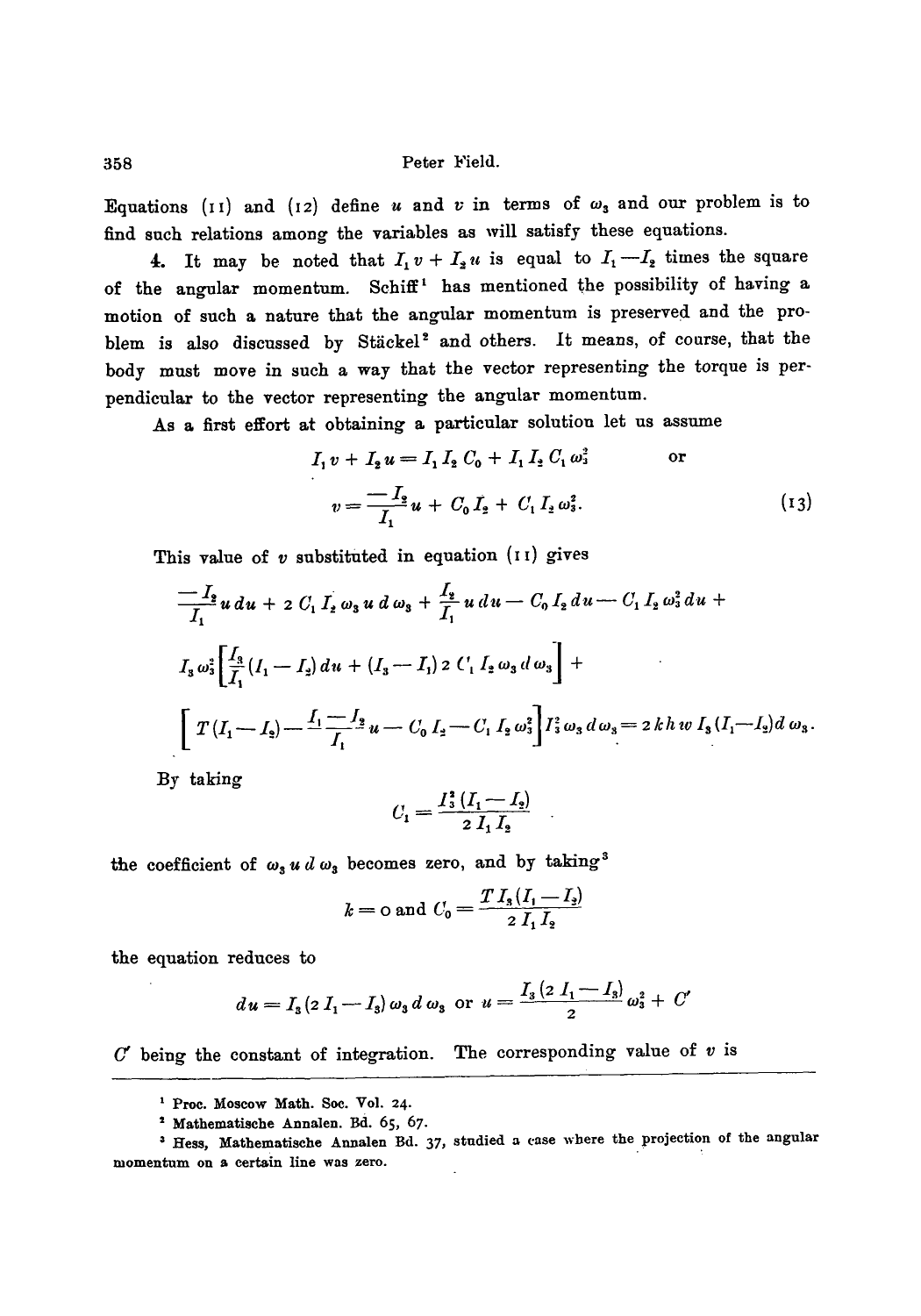Equations (11) and (12) define u and v in terms of  $\omega_3$  and our problem is to find such relations among the variables as will satisfy these equations.

4. It may be noted that  $I_1v+I_2u$  is equal to  $I_1-I_2$  times the square of the angular momentum. Schiff<sup>1</sup> has mentioned the possibility of having a motion of such a nature that the angular momentum is preserved and the problem is also discussed by Stäckel<sup>2</sup> and others. It means, of course, that the body must move in such a way that the vector representing the torque is perpendicular to the vector representing the angular momentum.

As a first effort at obtaining a particular solutiou let us assume

$$
I_1 v + I_2 u = I_1 I_2 C_0 + I_1 I_2 C_1 \omega_3^2 \qquad \text{or}
$$
  

$$
v = \frac{-I_2}{I_1} u + C_0 I_2 + C_1 I_2 \omega_3^2.
$$
 (13)

This value of  $v$  substituted in equation ( $11$ ) gives

$$
\frac{-I_2}{I_1} u du + 2 C_1 I_2 \omega_3 u d \omega_3 + \frac{I_2}{I_1} u du - C_0 I_2 du - C_1 I_2 \omega_3^2 du +
$$
  
\n
$$
I_3 \omega_3^2 \left[ \frac{I_3}{I_1} (I_1 - I_2) du + (I_3 - I_1) 2 C_1 I_2 \omega_3 d \omega_3 \right] +
$$
  
\n
$$
\left[ T (I_1 - I_2) - \frac{I_1 - I_2}{I_1} u - C_0 I_2 - C_1 I_2 \omega_3^2 \right] I_3^2 \omega_3 d \omega_3 = 2 k h w I_3 (I_1 - I_2) d \omega_3.
$$

By taking

$$
C_1 = \frac{I_3^2 (I_1 - I_2)}{2 I_1 I_2}
$$

the coefficient of  $\omega_3 u d \omega_3$  becomes zero, and by taking<sup>3</sup>

$$
k =
$$
o and  $C_0 = \frac{T I_s (I_1 - I_2)}{2 I_1 I_2}$ 

the equation reduces to

$$
du = I_3 \left(2 I_1 - I_3\right) \omega_3 d \omega_3 \text{ or } u = \frac{I_3 \left(2 I_1 - I_3\right)}{2} \omega_3^2 + C'
$$

 $C'$  being the constant of integration. The corresponding value of  $v$  is

**I Proc. Moscow Math. Soc. Vol. 24.** 

**t Mathematische Annalen. Bd. 65, 67.** 

**Hess, Mathematische Annalen Bd. 37, studied a case where the projection of the angular momentum on a certain line was zero.**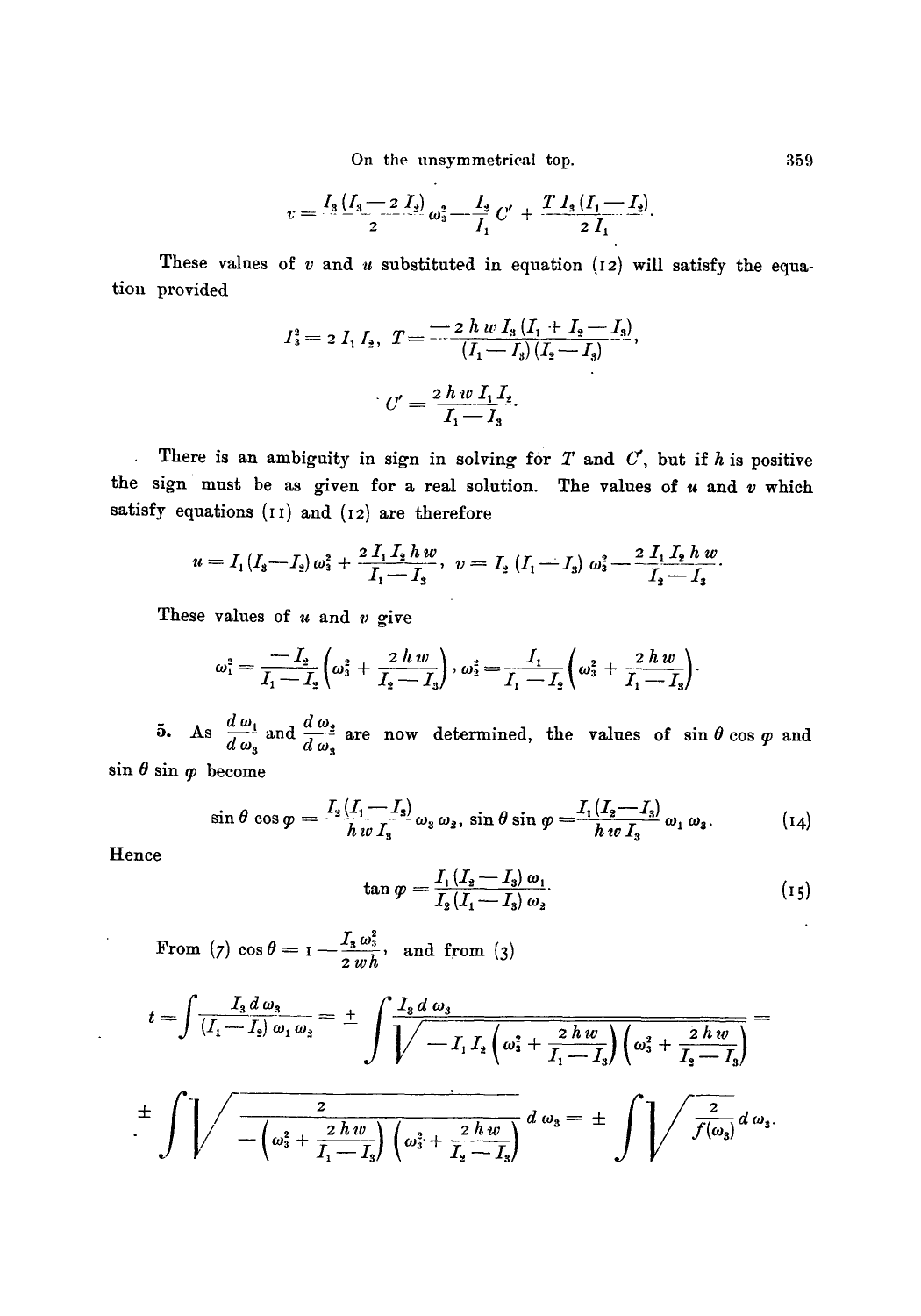On the unsymmetrical top. 359

$$
v = \frac{I_3 (I_3 - 2 I_2)}{2} \omega_3^2 - \frac{I_3}{I_1} C' + \frac{T I_3 (I_1 - I_2)}{2 I_1}
$$

These values of v and u substituted in equation **(I2) will** satisfy the **equation** provided

$$
I_3^2 = 2 I_1 I_2, T = \frac{-2 h w I_3 (I_1 + I_2 - I_3)}{(I_1 - I_3)(I_2 - I_3)},
$$
  

$$
C' = \frac{2 h w I_1 I_2}{I_1 - I_3}.
$$

There is an ambiguity in sign in solving for  $T$  and  $C$ , but if  $h$  is positive  $\mathbf{r}$ the sign must be as given for a real solution. The values of  $u$  and  $v$  which satisfy equations (II) and (12) are therefore

$$
u = I_1(I_3 - I_2) \omega_3^2 + \frac{2 I_1 I_2 h w}{I_1 - I_3}, \quad v = I_2 (I_1 - I_3) \omega_3^2 - \frac{2 I_1 I_2 h w}{I_2 - I_3}.
$$

These values of  $u$  and  $v$  give

$$
\omega_1^2 = \frac{-I_2}{I_1 - I_2} \left( \omega_3^2 + \frac{2 \ h \ w}{I_2 - I_3} \right), \omega_2^2 = \frac{I_1}{I_1 - I_2} \left( \omega_3^2 + \frac{2 \ h \ w}{I_1 - I_3} \right).
$$

**As**  $\frac{d\omega_1}{d\omega_2}$  and  $\frac{d\omega_3}{d\omega_3}$  are now determined, the values of sin  $\theta$  cos  $\varphi$  and

 $\sin \theta \sin \varphi$  become

$$
\sin \theta \cos \varphi = \frac{I_{\frac{1}{2}}(I_1 - I_3)}{h w I_3} \omega_3 \omega_2, \sin \theta \sin \varphi = \frac{I_1(I_2 - I_3)}{h w I_3} \omega_1 \omega_3. \tag{14}
$$

Hence

$$
\tan \varphi = \frac{I_1 (I_2 - I_3) \omega_1}{I_2 (I_1 - I_3) \omega_2}.
$$
 (15)

From (7)  $\cos \theta = I - \frac{I_3 \omega_3^2}{2 \omega h}$ , and from (3)

$$
t = \int \frac{I_3 d\omega_3}{(I_1 - I_2) \omega_1 \omega_2} = \pm \int \frac{I_3 d\omega_3}{\sqrt{1 - I_1 I_2 \left(\omega_3^2 + \frac{2 \, h \, w}{I_1 - I_3}\right) \left(\omega_3^2 + \frac{2 \, h \, w}{I_3 - I_3}\right)}}
$$

$$
\frac{1}{\pi}\int\left\{\sqrt{\frac{2}{-\left(\omega_3^2+\frac{2h w}{I_1-I_3}\right)\left(\omega_3^2+\frac{2h w}{I_2-I_3}\right)}}d\,\omega_3=\pm\int\left\{\sqrt{\frac{2}{f(\omega_3)}}d\,\omega_3.\right\}
$$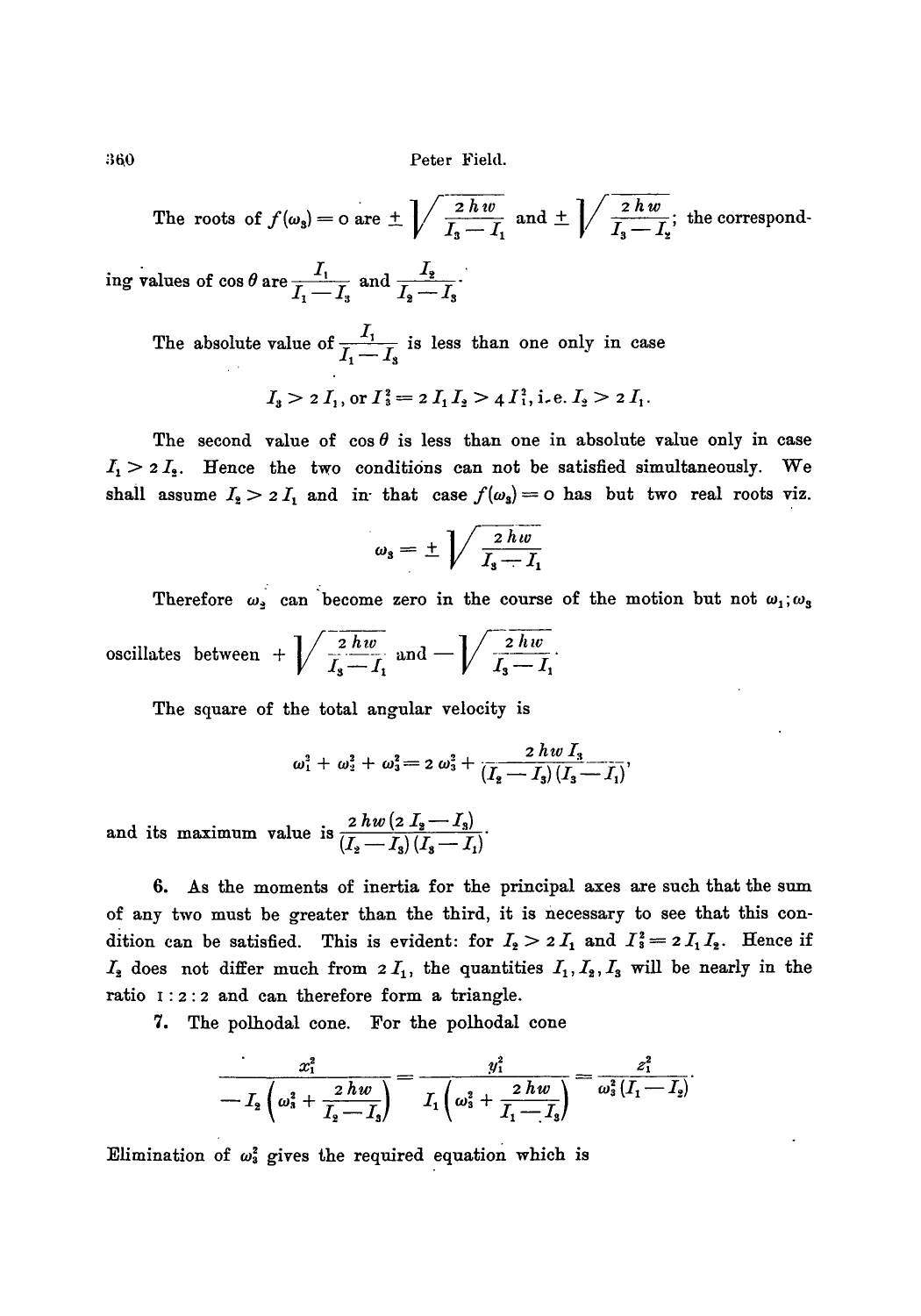$360$  Peter Field.

The roots of 
$$
f(\omega_3) = 0
$$
 are  $\pm \sqrt{\frac{2 h w}{I_3 - I_1}}$  and  $\pm \sqrt{\frac{2 h w}{I_3 - I_2}}$ ; the correspond-

ing values of cos  $\theta$  are  $\frac{1}{\epsilon}$  and  $\frac{12}{\epsilon}$  $1_1 - 1_3$   $1_2 - 1_5$ 

> The absolute value of  $\frac{I_1}{I_1-I_3}$  is less than one only in case  $I_{\rm s} > 2I_{\rm t}$ , or  $I_{\rm s}^2 = 2I_{\rm t}I_{\rm s} > 4I_{\rm t}^2$ , i.e.  $I_{\rm s} > 2I_{\rm t}$ .

The second value of  $\cos \theta$  is less than one in absolute value only in case  $I_1 > 2 I_2$ . Hence the two conditions can not be satisfied simultaneously. We shall assume  $I_2 > 2 I_1$  and in that case  $f(\omega_3) = 0$  has but two real roots viz.

$$
\omega_{\rm s}=\pm\sqrt{\frac{2\,h\,w}{I_{\rm s}-I_{\rm 1}}}
$$

Therefore  $\omega_2$  can become zero in the course of the motion but not  $\omega_1;\omega_3$  $\alpha$  oscillates between +  $\left[\sqrt{\frac{2hw}{I+I}}\right]$  and  $\left[\sqrt{\frac{2hw}{I+I}}\right]$ .

The square of the total angular velocity is

$$
\omega_1^2 + \omega_2^2 + \omega_3^2 = 2 \omega_3^2 + \frac{2 \, h \, w \, I_3}{(I_2 - I_3) \, (I_3 - I_1)}
$$

and its maximum value is  $\frac{2hw(2I_2-I_3)}{(I-I)(I-I)}$ 

6. As the moments of inertia for the principal axes are such that the sum of any two must be greater than the third, it is necessary to see that this condition can be satisfied. This is evident: for  $I_2 > 2 I_1$  and  $I_3^2 = 2 I_1 I_2$ . Hence if  $I_2$  does not differ much from  $2 I_1$ , the quantities  $I_1, I_2, I_3$  will be nearly in the ratio I:2:2 and can therefore form a triangle.

7. The polhodal cone. For the polhodal cone

$$
\frac{x_1^2}{-I_2\left(\omega_3^2+\frac{2\,h\,w}{I_2-I_3}\right)}=\frac{y_1^2}{I_1\left(\omega_3^2+\frac{2\,h\,w}{I_1-I_3}\right)}=\frac{z_1^2}{\omega_3^2\,(I_1-I_2)}.
$$

Elimination of  $\omega_3^2$  gives the required equation which is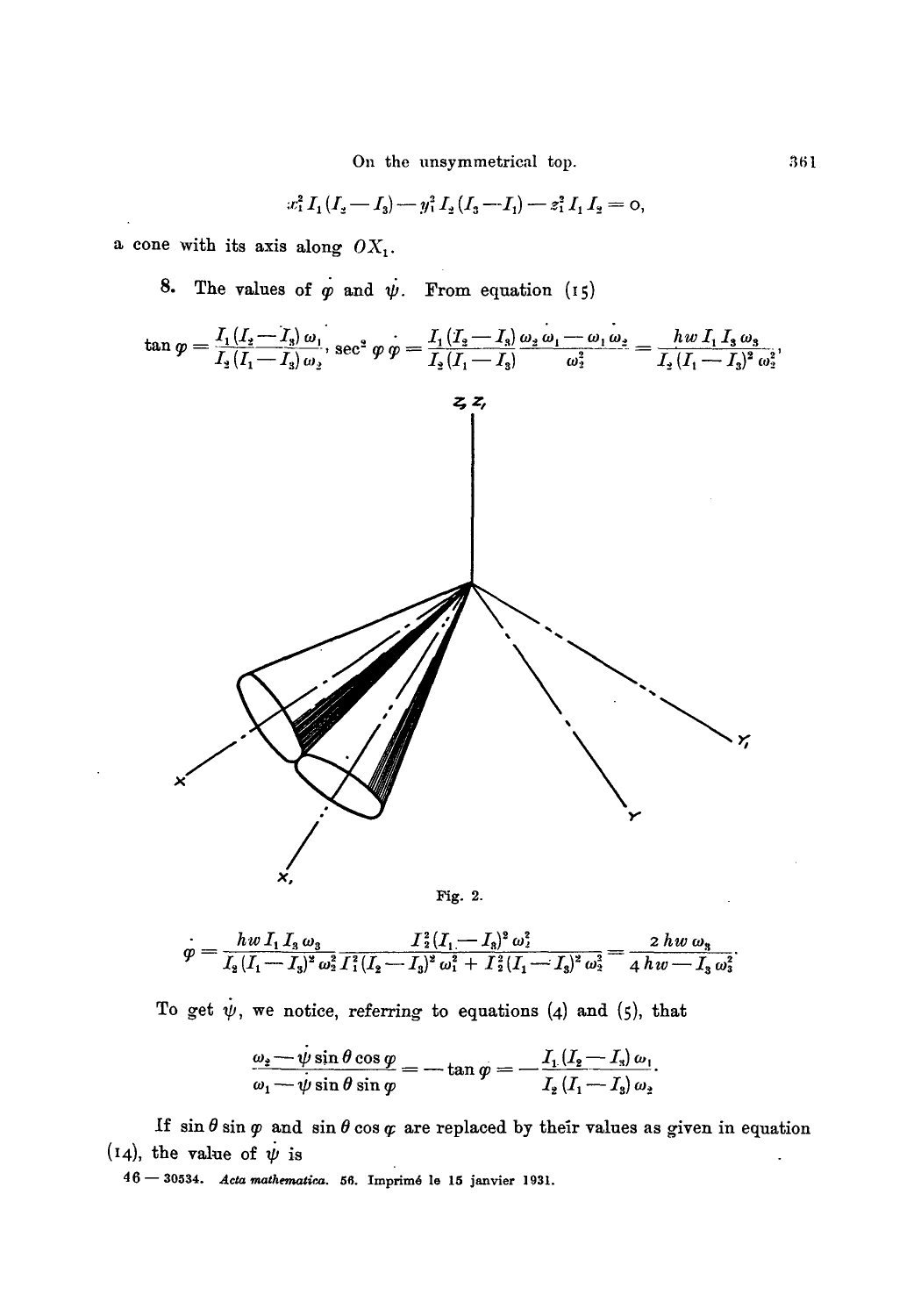On the unsymmetrical top.

$$
x_1^2 I_1 (I_2 - I_3) - y_1^2 I_2 (I_3 - I_1) - z_1^2 I_1 I_2 = 0
$$

a cone with its axis along  $OX_1$ .

8. The values of  $\varphi$  and  $\psi$ . From equation (15)



$$
\overset{\cdot}{\varphi} = \frac{h w \, I_1 \, I_3 \, \omega_3}{I_2 \, (I_1 - I_3)^2 \, \omega_2^2 \, I_1^2 (I_2 - I_3)^2 \, \omega_1^2 \, + \, I_2^2 (I_1 - I_3)^2 \, \omega_2^2} = \frac{2 \, h w \, \omega_3}{4 \, h w - I_3 \, \omega_3^2}
$$

To get  $\dot{\psi}$ , we notice, referring to equations (4) and (5), that

$$
\frac{\omega_2-\psi\sin\theta\cos\varphi}{\omega_1-\psi\sin\theta\sin\varphi}=-\tan\varphi=-\frac{I_1\left(I_2-I_3\right)\omega_1}{I_2\left(I_1-I_3\right)\omega_2}.
$$

If  $\sin \theta \sin \varphi$  and  $\sin \theta \cos \varphi$  are replaced by their values as given in equation (14), the value of  $\dot{\psi}$  is

46 - 30534. Acta mathematica. 56. Imprimé le 15 janvier 1931.

361